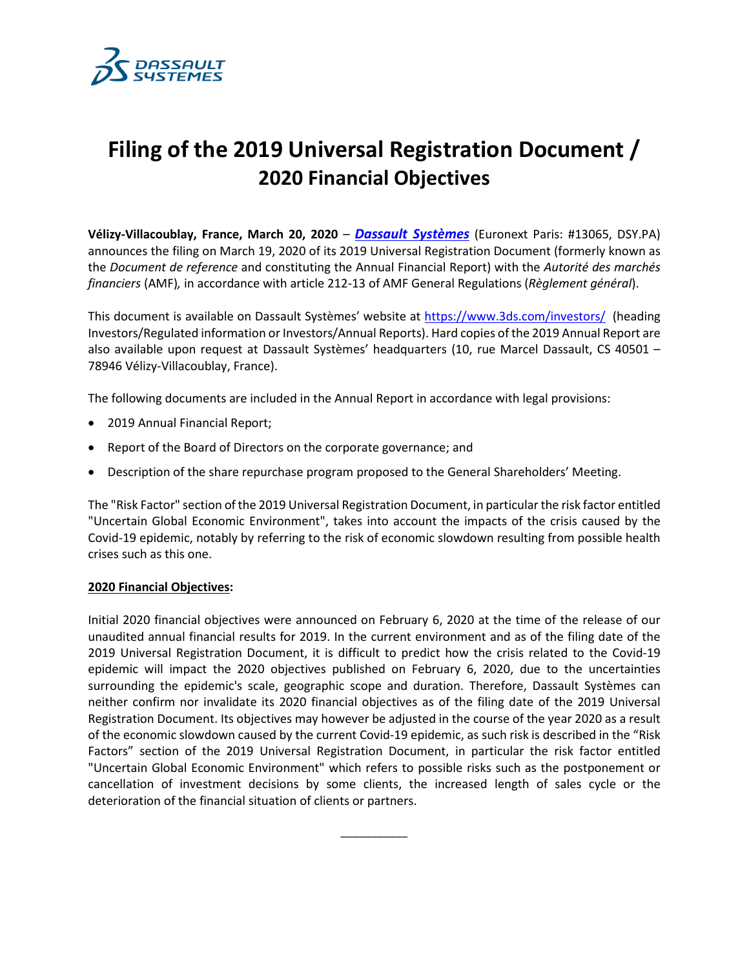

## **Filing of the 2019 Universal Registration Document / 2020 Financial Objectives**

**Vélizy-Villacoublay, France, March 20, 2020** – *[Dassault Systèmes](http://www.3ds.com/)* (Euronext Paris: #13065, DSY.PA) announces the filing on March 19, 2020 of its 2019 Universal Registration Document (formerly known as the *Document de reference* and constituting the Annual Financial Report) with the *Autorité des marchés financiers* (AMF)*,* in accordance with article 212-13 of AMF General Regulations (*Règlement général*).

This document is available on Dassault Systèmes' website at<https://www.3ds.com/investors/> (heading Investors/Regulated information or Investors/Annual Reports). Hard copies of the 2019 Annual Report are also available upon request at Dassault Systèmes' headquarters (10, rue Marcel Dassault, CS 40501 – 78946 Vélizy-Villacoublay, France).

The following documents are included in the Annual Report in accordance with legal provisions:

- 2019 Annual Financial Report;
- Report of the Board of Directors on the corporate governance; and
- Description of the share repurchase program proposed to the General Shareholders' Meeting.

The "Risk Factor" section of the 2019 Universal Registration Document, in particular the risk factor entitled "Uncertain Global Economic Environment", takes into account the impacts of the crisis caused by the Covid-19 epidemic, notably by referring to the risk of economic slowdown resulting from possible health crises such as this one.

## **2020 Financial Objectives:**

Initial 2020 financial objectives were announced on February 6, 2020 at the time of the release of our unaudited annual financial results for 2019. In the current environment and as of the filing date of the 2019 Universal Registration Document, it is difficult to predict how the crisis related to the Covid-19 epidemic will impact the 2020 objectives published on February 6, 2020, due to the uncertainties surrounding the epidemic's scale, geographic scope and duration. Therefore, Dassault Systèmes can neither confirm nor invalidate its 2020 financial objectives as of the filing date of the 2019 Universal Registration Document. Its objectives may however be adjusted in the course of the year 2020 as a result of the economic slowdown caused by the current Covid-19 epidemic, as such risk is described in the "Risk Factors" section of the 2019 Universal Registration Document, in particular the risk factor entitled "Uncertain Global Economic Environment" which refers to possible risks such as the postponement or cancellation of investment decisions by some clients, the increased length of sales cycle or the deterioration of the financial situation of clients or partners.

 $\overline{\phantom{a}}$   $\overline{\phantom{a}}$   $\overline{\phantom{a}}$   $\overline{\phantom{a}}$   $\overline{\phantom{a}}$   $\overline{\phantom{a}}$   $\overline{\phantom{a}}$   $\overline{\phantom{a}}$   $\overline{\phantom{a}}$   $\overline{\phantom{a}}$   $\overline{\phantom{a}}$   $\overline{\phantom{a}}$   $\overline{\phantom{a}}$   $\overline{\phantom{a}}$   $\overline{\phantom{a}}$   $\overline{\phantom{a}}$   $\overline{\phantom{a}}$   $\overline{\phantom{a}}$   $\overline{\$